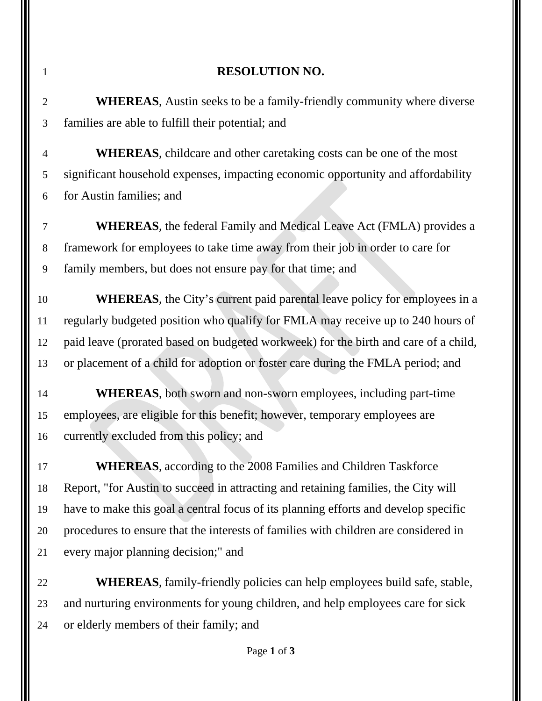## **RESOLUTION NO. WHEREAS**, Austin seeks to be a family-friendly community where diverse families are able to fulfill their potential; and **WHEREAS**, childcare and other caretaking costs can be one of the most significant household expenses, impacting economic opportunity and affordability for Austin families; and **WHEREAS**, the federal Family and Medical Leave Act (FMLA) provides a framework for employees to take time away from their job in order to care for family members, but does not ensure pay for that time; and **WHEREAS**, the City's current paid parental leave policy for employees in a regularly budgeted position who qualify for FMLA may receive up to 240 hours of paid leave (prorated based on budgeted workweek) for the birth and care of a child, or placement of a child for adoption or foster care during the FMLA period; and **WHEREAS**, both sworn and non-sworn employees, including part-time employees, are eligible for this benefit; however, temporary employees are currently excluded from this policy; and **WHEREAS**, according to the 2008 Families and Children Taskforce Report, "for Austin to succeed in attracting and retaining families, the City will have to make this goal a central focus of its planning efforts and develop specific procedures to ensure that the interests of families with children are considered in every major planning decision;" and **WHEREAS**, family-friendly policies can help employees build safe, stable, and nurturing environments for young children, and help employees care for sick or elderly members of their family; and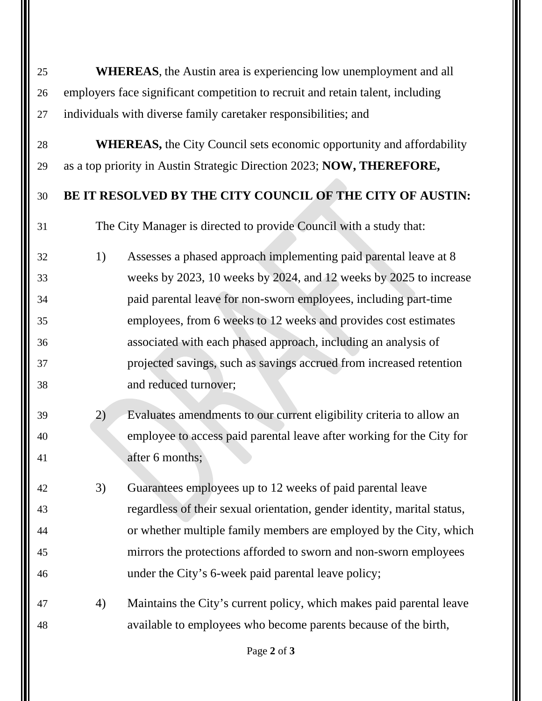| 25 | <b>WHEREAS</b> , the Austin area is experiencing low unemployment and all      |                                                                          |  |  |  |  |
|----|--------------------------------------------------------------------------------|--------------------------------------------------------------------------|--|--|--|--|
| 26 | employers face significant competition to recruit and retain talent, including |                                                                          |  |  |  |  |
| 27 | individuals with diverse family caretaker responsibilities; and                |                                                                          |  |  |  |  |
| 28 | <b>WHEREAS, the City Council sets economic opportunity and affordability</b>   |                                                                          |  |  |  |  |
| 29 | as a top priority in Austin Strategic Direction 2023; NOW, THEREFORE,          |                                                                          |  |  |  |  |
| 30 | BE IT RESOLVED BY THE CITY COUNCIL OF THE CITY OF AUSTIN:                      |                                                                          |  |  |  |  |
| 31 | The City Manager is directed to provide Council with a study that:             |                                                                          |  |  |  |  |
| 32 | 1)                                                                             | Assesses a phased approach implementing paid parental leave at 8         |  |  |  |  |
| 33 |                                                                                | weeks by 2023, 10 weeks by 2024, and 12 weeks by 2025 to increase        |  |  |  |  |
| 34 |                                                                                | paid parental leave for non-sworn employees, including part-time         |  |  |  |  |
| 35 |                                                                                | employees, from 6 weeks to 12 weeks and provides cost estimates          |  |  |  |  |
| 36 |                                                                                | associated with each phased approach, including an analysis of           |  |  |  |  |
| 37 |                                                                                | projected savings, such as savings accrued from increased retention      |  |  |  |  |
| 38 |                                                                                | and reduced turnover;                                                    |  |  |  |  |
| 39 | 2)                                                                             | Evaluates amendments to our current eligibility criteria to allow an     |  |  |  |  |
| 40 |                                                                                | employee to access paid parental leave after working for the City for    |  |  |  |  |
| 41 |                                                                                | after 6 months;                                                          |  |  |  |  |
| 42 | 3)                                                                             | Guarantees employees up to 12 weeks of paid parental leave               |  |  |  |  |
| 43 |                                                                                | regardless of their sexual orientation, gender identity, marital status, |  |  |  |  |
| 44 |                                                                                | or whether multiple family members are employed by the City, which       |  |  |  |  |
| 45 |                                                                                | mirrors the protections afforded to sworn and non-sworn employees        |  |  |  |  |
| 46 |                                                                                | under the City's 6-week paid parental leave policy;                      |  |  |  |  |
| 47 | 4)                                                                             | Maintains the City's current policy, which makes paid parental leave     |  |  |  |  |
| 48 |                                                                                | available to employees who become parents because of the birth,          |  |  |  |  |